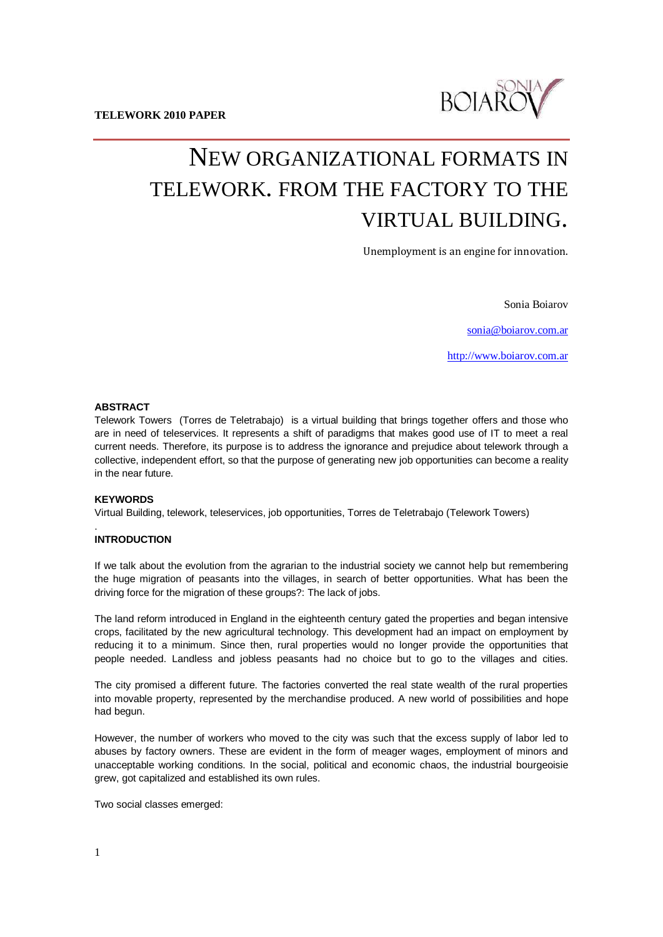

# NEW ORGANIZATIONAL FORMATS IN TELEWORK. FROM THE FACTORY TO THE VIRTUAL BUILDING.

Unemployment is an engine for innovation.

Sonia Boiarov

[sonia@boiarov.com.ar](mailto:sonia@boiarov.com.ar)

[http://www.boiarov.com.ar](http://www.boiarov.com.ar/)

# **ABSTRACT**

Telework Towers (Torres de Teletrabajo) is a virtual building that brings together offers and those who are in need of teleservices. It represents a shift of paradigms that makes good use of IT to meet a real current needs. Therefore, its purpose is to address the ignorance and prejudice about telework through a collective, independent effort, so that the purpose of generating new job opportunities can become a reality in the near future.

#### **KEYWORDS**

.

Virtual Building, telework, teleservices, job opportunities, Torres de Teletrabajo (Telework Towers)

#### **INTRODUCTION**

If we talk about the evolution from the agrarian to the industrial society we cannot help but remembering the huge migration of peasants into the villages, in search of better opportunities. What has been the driving force for the migration of these groups?: The lack of jobs.

The land reform introduced in England in the eighteenth century gated the properties and began intensive crops, facilitated by the new agricultural technology. This development had an impact on employment by reducing it to a minimum. Since then, rural properties would no longer provide the opportunities that people needed. Landless and jobless peasants had no choice but to go to the villages and cities.

The city promised a different future. The factories converted the real state wealth of the rural properties into movable property, represented by the merchandise produced. A new world of possibilities and hope had begun.

However, the number of workers who moved to the city was such that the excess supply of labor led to abuses by factory owners. These are evident in the form of meager wages, employment of minors and unacceptable working conditions. In the social, political and economic chaos, the industrial bourgeoisie grew, got capitalized and established its own rules.

Two social classes emerged: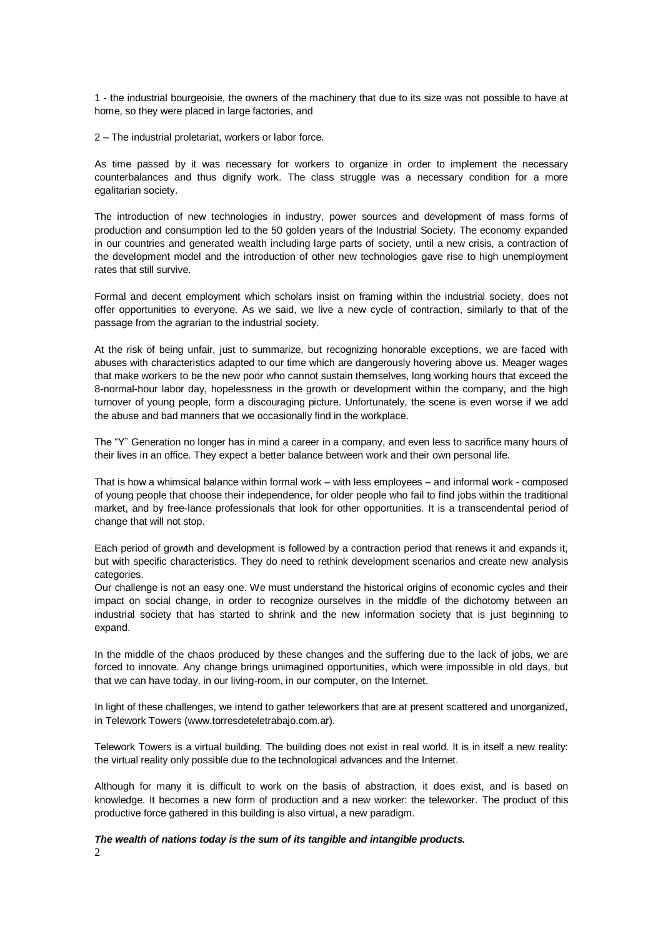1 - the industrial bourgeoisie, the owners of the machinery that due to its size was not possible to have at home, so they were placed in large factories, and

2 – The industrial proletariat, workers or labor force.

As time passed by it was necessary for workers to organize in order to implement the necessary counterbalances and thus dignify work. The class struggle was a necessary condition for a more egalitarian society.

The introduction of new technologies in industry, power sources and development of mass forms of production and consumption led to the 50 golden years of the Industrial Society. The economy expanded in our countries and generated wealth including large parts of society, until a new crisis, a contraction of the development model and the introduction of other new technologies gave rise to high unemployment rates that still survive.

Formal and decent employment which scholars insist on framing within the industrial society, does not offer opportunities to everyone. As we said, we live a new cycle of contraction, similarly to that of the passage from the agrarian to the industrial society.

At the risk of being unfair, just to summarize, but recognizing honorable exceptions, we are faced with abuses with characteristics adapted to our time which are dangerously hovering above us. Meager wages that make workers to be the new poor who cannot sustain themselves, long working hours that exceed the 8-normal-hour labor day, hopelessness in the growth or development within the company, and the high turnover of young people, form a discouraging picture. Unfortunately, the scene is even worse if we add the abuse and bad manners that we occasionally find in the workplace.

The "Y" Generation no longer has in mind a career in a company, and even less to sacrifice many hours of their lives in an office. They expect a better balance between work and their own personal life.

That is how a whimsical balance within formal work – with less employees – and informal work - composed of young people that choose their independence, for older people who fail to find jobs within the traditional market, and by free-lance professionals that look for other opportunities. It is a transcendental period of change that will not stop.

Each period of growth and development is followed by a contraction period that renews it and expands it, but with specific characteristics. They do need to rethink development scenarios and create new analysis categories.

Our challenge is not an easy one. We must understand the historical origins of economic cycles and their impact on social change, in order to recognize ourselves in the middle of the dichotomy between an industrial society that has started to shrink and the new information society that is just beginning to expand.

In the middle of the chaos produced by these changes and the suffering due to the lack of jobs, we are forced to innovate. Any change brings unimagined opportunities, which were impossible in old days, but that we can have today, in our living-room, in our computer, on the Internet.

In light of these challenges, we intend to gather teleworkers that are at present scattered and unorganized, in Telework Towers (www.torresdeteletrabajo.com.ar).

Telework Towers is a virtual building. The building does not exist in real world. It is in itself a new reality: the virtual reality only possible due to the technological advances and the Internet.

Although for many it is difficult to work on the basis of abstraction, it does exist, and is based on knowledge. It becomes a new form of production and a new worker: the teleworker. The product of this productive force gathered in this building is also virtual, a new paradigm.

2 *The wealth of nations today is the sum of its tangible and intangible products.*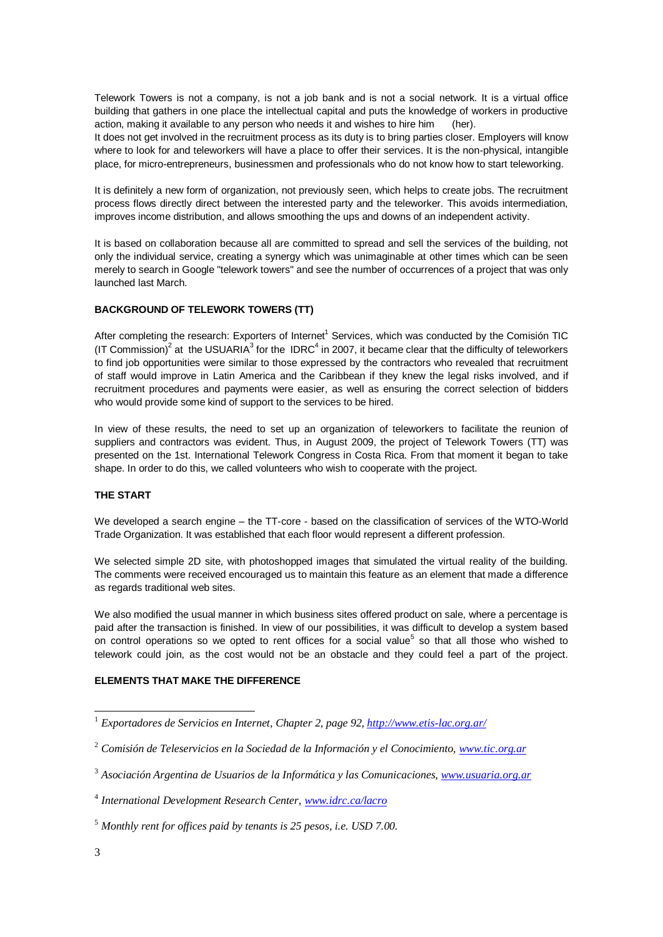Telework Towers is not a company, is not a job bank and is not a social network. It is a virtual office building that gathers in one place the intellectual capital and puts the knowledge of workers in productive action, making it available to any person who needs it and wishes to hire him (her).

It does not get involved in the recruitment process as its duty is to bring parties closer. Employers will know where to look for and teleworkers will have a place to offer their services. It is the non-physical, intangible place, for micro-entrepreneurs, businessmen and professionals who do not know how to start teleworking.

It is definitely a new form of organization, not previously seen, which helps to create jobs. The recruitment process flows directly direct between the interested party and the teleworker. This avoids intermediation, improves income distribution, and allows smoothing the ups and downs of an independent activity.

It is based on collaboration because all are committed to spread and sell the services of the building, not only the individual service, creating a synergy which was unimaginable at other times which can be seen merely to search in Google "telework towers" and see the number of occurrences of a project that was only launched last March.

# **BACKGROUND OF TELEWORK TOWERS (TT)**

After completing the research: Exporters of Internet<sup>1</sup> Services, which was conducted by the Comisión TIC (IT Commission)<sup>2</sup> at the USUARIA<sup>3</sup> for the IDRC<sup>4</sup> in 2007, it became clear that the difficulty of teleworkers to find job opportunities were similar to those expressed by the contractors who revealed that recruitment of staff would improve in Latin America and the Caribbean if they knew the legal risks involved, and if recruitment procedures and payments were easier, as well as ensuring the correct selection of bidders who would provide some kind of support to the services to be hired.

In view of these results, the need to set up an organization of teleworkers to facilitate the reunion of suppliers and contractors was evident. Thus, in August 2009, the project of Telework Towers (TT) was presented on the 1st. International Telework Congress in Costa Rica. From that moment it began to take shape. In order to do this, we called volunteers who wish to cooperate with the project.

# **THE START**

We developed a search engine – the TT-core - based on the classification of services of the WTO-World Trade Organization. It was established that each floor would represent a different profession.

We selected simple 2D site, with photoshopped images that simulated the virtual reality of the building. The comments were received encouraged us to maintain this feature as an element that made a difference as regards traditional web sites.

We also modified the usual manner in which business sites offered product on sale, where a percentage is paid after the transaction is finished. In view of our possibilities, it was difficult to develop a system based on control operations so we opted to rent offices for a social value<sup>5</sup> so that all those who wished to telework could join, as the cost would not be an obstacle and they could feel a part of the project.

# **ELEMENTS THAT MAKE THE DIFFERENCE**

<sup>1</sup> *Exportadores de Servicios en Internet, Chapter 2, page 92[, http://www.etis-lac.org.ar/](http://www.etis-lac.org.ar/)*

<sup>2</sup> *Comisión de Teleservicios en la Sociedad de la Información y el Conocimiento, [www.tic.org.ar](http://www.tic.org.ar/)*

<sup>3</sup> *Asociación Argentina de Usuarios de la Informática y las Comunicaciones, [www.usuaria.org.ar](http://www.usuaria.org.ar/)*

<sup>4</sup> *International Development Research Center, [www.idrc.ca/lacro](http://www.idrc.ca/lacro)*

<sup>5</sup> *Monthly rent for offices paid by tenants is 25 pesos, i.e. USD 7.00.*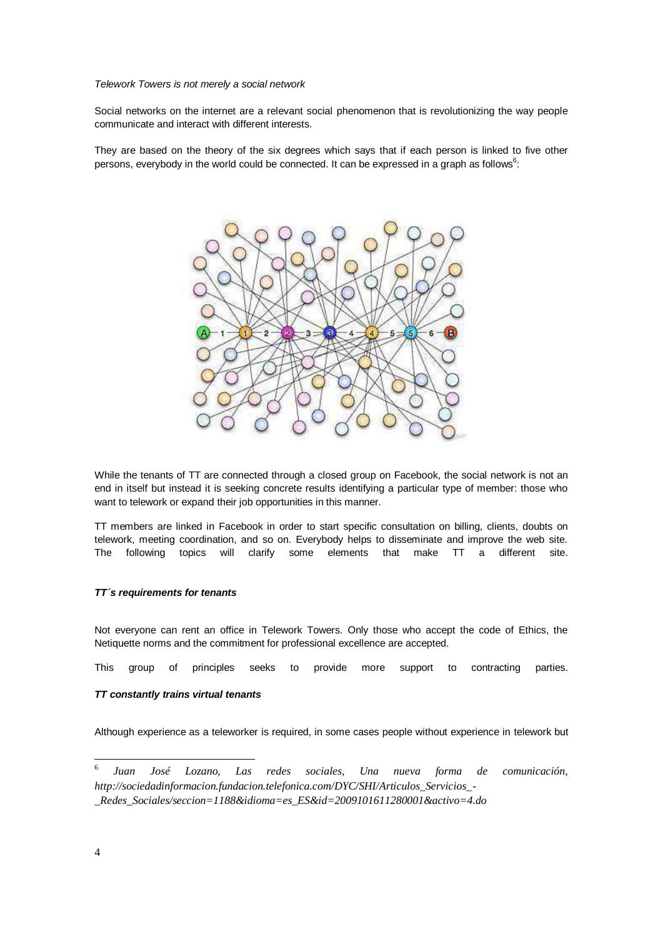#### *Telework Towers is not merely a social network*

Social networks on the internet are a relevant social phenomenon that is revolutionizing the way people communicate and interact with different interests.

They are based on the theory of the six degrees which says that if each person is linked to five other persons, everybody in the world could be connected. It can be expressed in a graph as follows $^6$ :



While the tenants of TT are connected through a closed group on Facebook, the social network is not an end in itself but instead it is seeking concrete results identifying a particular type of member: those who want to telework or expand their job opportunities in this manner.

TT members are linked in Facebook in order to start specific consultation on billing, clients, doubts on telework, meeting coordination, and so on. Everybody helps to disseminate and improve the web site. The following topics will clarify some elements that make TT a different site.

#### *TT´s requirements for tenants*

Not everyone can rent an office in Telework Towers. Only those who accept the code of Ethics, the Netiquette norms and the commitment for professional excellence are accepted.

This group of principles seeks to provide more support to contracting parties.

#### *TT constantly trains virtual tenants*

Although experience as a teleworker is required, in some cases people without experience in telework but

<sup>6</sup> *Juan José Lozano, Las redes sociales, Una nueva forma de comunicación, http://sociedadinformacion.fundacion.telefonica.com/DYC/SHI/Articulos\_Servicios\_- \_Redes\_Sociales/seccion=1188&idioma=es\_ES&id=2009101611280001&activo=4.do*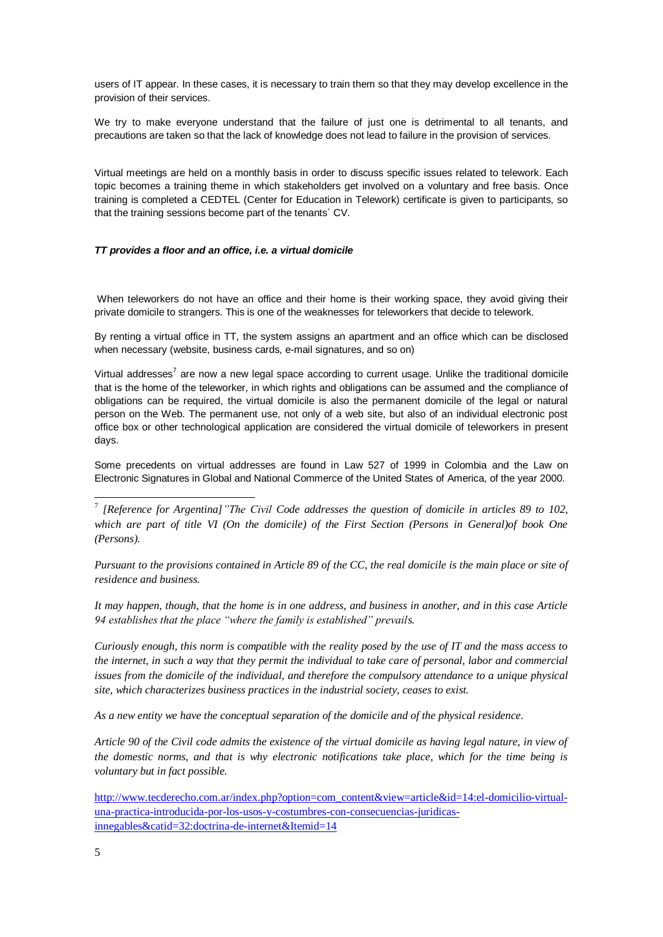users of IT appear. In these cases, it is necessary to train them so that they may develop excellence in the provision of their services.

We try to make everyone understand that the failure of just one is detrimental to all tenants, and precautions are taken so that the lack of knowledge does not lead to failure in the provision of services.

Virtual meetings are held on a monthly basis in order to discuss specific issues related to telework. Each topic becomes a training theme in which stakeholders get involved on a voluntary and free basis. Once training is completed a CEDTEL (Center for Education in Telework) certificate is given to participants, so that the training sessions become part of the tenants´ CV.

# *TT provides a floor and an office, i.e. a virtual domicile*

When teleworkers do not have an office and their home is their working space, they avoid giving their private domicile to strangers. This is one of the weaknesses for teleworkers that decide to telework.

By renting a virtual office in TT, the system assigns an apartment and an office which can be disclosed when necessary (website, business cards, e-mail signatures, and so on)

Virtual addresses<sup>7</sup> are now a new legal space according to current usage. Unlike the traditional domicile that is the home of the teleworker, in which rights and obligations can be assumed and the compliance of obligations can be required, the virtual domicile is also the permanent domicile of the legal or natural person on the Web. The permanent use, not only of a web site, but also of an individual electronic post office box or other technological application are considered the virtual domicile of teleworkers in present days.

Some precedents on virtual addresses are found in Law 527 of 1999 in Colombia and the Law on Electronic Signatures in Global and National Commerce of the United States of America, of the year 2000.

7 *[Reference for Argentina]"The Civil Code addresses the question of domicile in articles 89 to 102, which are part of title VI (On the domicile) of the First Section (Persons in General)of book One (Persons).*

*Pursuant to the provisions contained in Article 89 of the CC, the real domicile is the main place or site of residence and business.*

*It may happen, though, that the home is in one address, and business in another, and in this case Article 94 establishes that the place "where the family is established" prevails.*

*Curiously enough, this norm is compatible with the reality posed by the use of IT and the mass access to the internet, in such a way that they permit the individual to take care of personal, labor and commercial issues from the domicile of the individual, and therefore the compulsory attendance to a unique physical site, which characterizes business practices in the industrial society, ceases to exist.*

*As a new entity we have the conceptual separation of the domicile and of the physical residence.*

*Article 90 of the Civil code admits the existence of the virtual domicile as having legal nature, in view of the domestic norms, and that is why electronic notifications take place, which for the time being is voluntary but in fact possible.*

[http://www.tecderecho.com.ar/index.php?option=com\\_content&view=article&id=14:el-domicilio-virtual](http://www.tecderecho.com.ar/index.php?option=com_content&view=article&id=14:el-domicilio-virtual-una-practica-introducida-por-los-usos-y-costumbres-con-consecuencias-juridicas-innegables&catid=32:doctrina-de-internet&Itemid=14)[una-practica-introducida-por-los-usos-y-costumbres-con-consecuencias-juridicas](http://www.tecderecho.com.ar/index.php?option=com_content&view=article&id=14:el-domicilio-virtual-una-practica-introducida-por-los-usos-y-costumbres-con-consecuencias-juridicas-innegables&catid=32:doctrina-de-internet&Itemid=14)[innegables&catid=32:doctrina-de-internet&Itemid=14](http://www.tecderecho.com.ar/index.php?option=com_content&view=article&id=14:el-domicilio-virtual-una-practica-introducida-por-los-usos-y-costumbres-con-consecuencias-juridicas-innegables&catid=32:doctrina-de-internet&Itemid=14)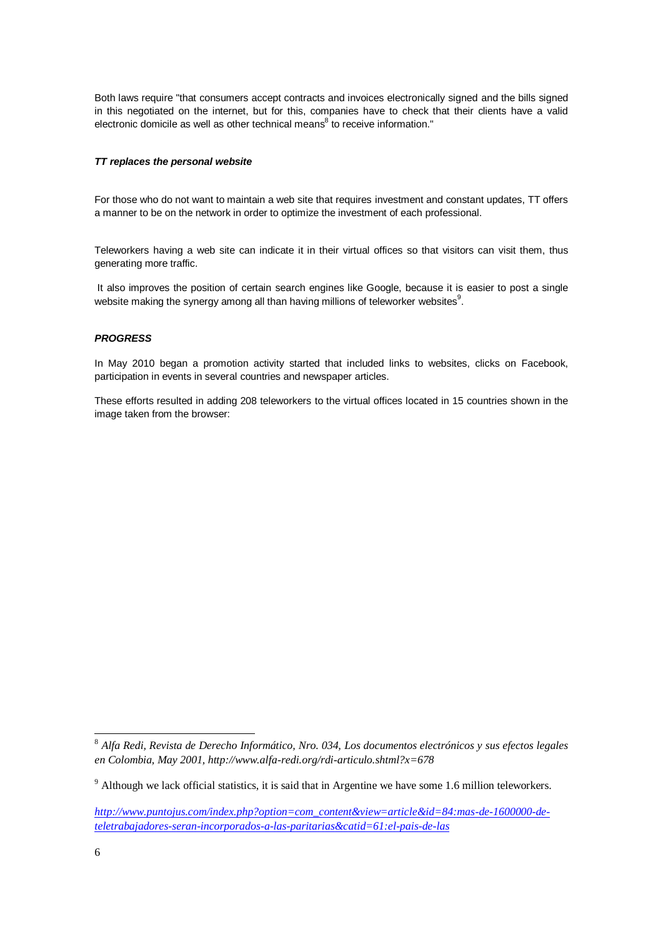Both laws require "that consumers accept contracts and invoices electronically signed and the bills signed in this negotiated on the internet, but for this, companies have to check that their clients have a valid electronic domicile as well as other technical means<sup>8</sup> to receive information."

#### *TT replaces the personal website*

For those who do not want to maintain a web site that requires investment and constant updates, TT offers a manner to be on the network in order to optimize the investment of each professional.

Teleworkers having a web site can indicate it in their virtual offices so that visitors can visit them, thus generating more traffic.

It also improves the position of certain search engines like Google, because it is easier to post a single website making the synergy among all than having millions of teleworker websites $^9$ .

#### *PROGRESS*

In May 2010 began a promotion activity started that included links to websites, clicks on Facebook, participation in events in several countries and newspaper articles.

These efforts resulted in adding 208 teleworkers to the virtual offices located in 15 countries shown in the image taken from the browser:

<sup>8</sup> *Alfa Redi, Revista de Derecho Informático, Nro. 034, Los documentos electrónicos y sus efectos legales en Colombia, May 2001, http://www.alfa-redi.org/rdi-articulo.shtml?x=678*

 $9$  Although we lack official statistics, it is said that in Argentine we have some 1.6 million teleworkers.

*[http://www.puntojus.com/index.php?option=com\\_content&view=article&id=84:mas-de-1600000-de](http://www.puntojus.com/index.php?option=com_content&view=article&id=84:mas-de-1600000-de-teletrabajadores-seran-incorporados-a-las-paritarias&catid=61:el-pais-de-las)[teletrabajadores-seran-incorporados-a-las-paritarias&catid=61:el-pais-de-las](http://www.puntojus.com/index.php?option=com_content&view=article&id=84:mas-de-1600000-de-teletrabajadores-seran-incorporados-a-las-paritarias&catid=61:el-pais-de-las)*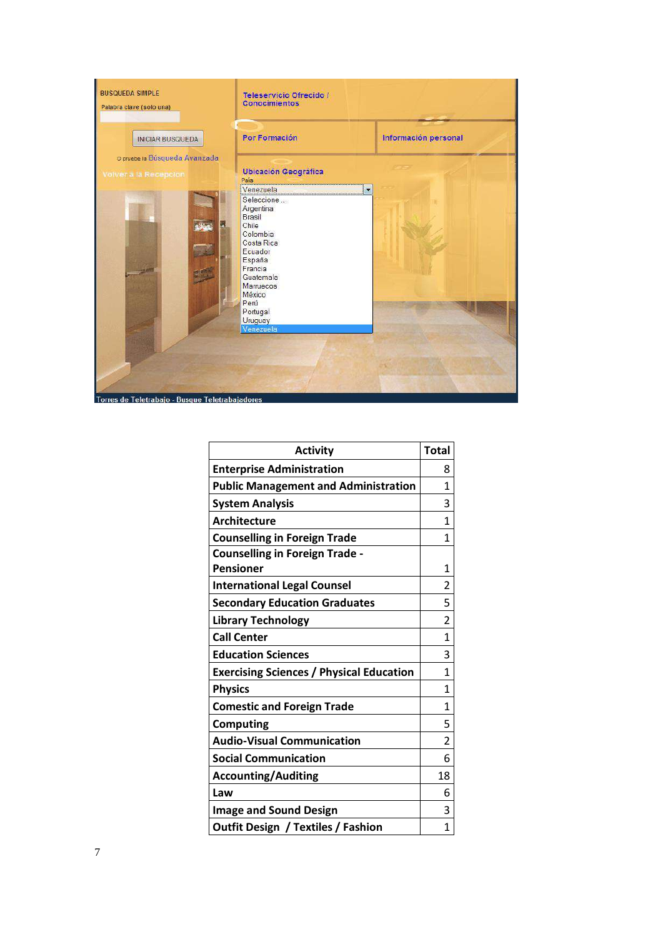

| <b>Activity</b>                                 | <b>Total</b>   |
|-------------------------------------------------|----------------|
| <b>Enterprise Administration</b>                | 8              |
| <b>Public Management and Administration</b>     | 1              |
| <b>System Analysis</b>                          | 3              |
| <b>Architecture</b>                             | 1              |
| <b>Counselling in Foreign Trade</b>             | 1              |
| <b>Counselling in Foreign Trade -</b>           |                |
| <b>Pensioner</b>                                | 1              |
| <b>International Legal Counsel</b>              | $\overline{2}$ |
| <b>Secondary Education Graduates</b>            | 5              |
| <b>Library Technology</b>                       | 2              |
| <b>Call Center</b>                              | $\mathbf{1}$   |
| <b>Education Sciences</b>                       | 3              |
| <b>Exercising Sciences / Physical Education</b> | 1              |
| <b>Physics</b>                                  | 1              |
| <b>Comestic and Foreign Trade</b>               | 1              |
| <b>Computing</b>                                | 5              |
| <b>Audio-Visual Communication</b>               | 2              |
| <b>Social Communication</b>                     | 6              |
| <b>Accounting/Auditing</b>                      | 18             |
| Law                                             | 6              |
| <b>Image and Sound Design</b>                   | 3              |
| <b>Outfit Design / Textiles / Fashion</b>       | $\mathbf{1}$   |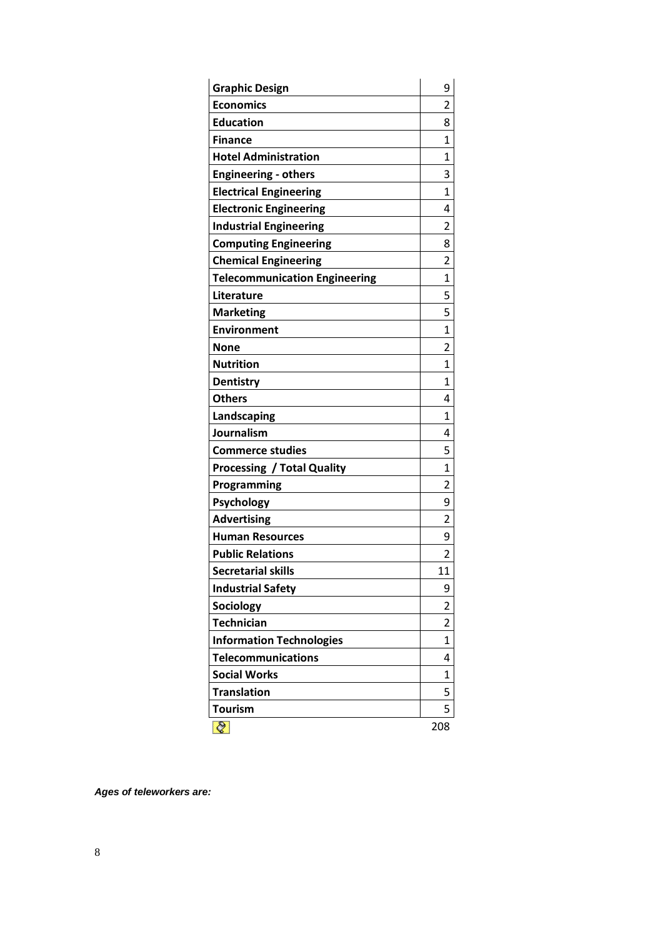| <b>Graphic Design</b>                | 9            |
|--------------------------------------|--------------|
| <b>Economics</b>                     | 2            |
| <b>Education</b>                     | 8            |
| <b>Finance</b>                       | 1            |
| <b>Hotel Administration</b>          | 1            |
| <b>Engineering - others</b>          | 3            |
| <b>Electrical Engineering</b>        | $\mathbf{1}$ |
| <b>Electronic Engineering</b>        | 4            |
| <b>Industrial Engineering</b>        | 2            |
| <b>Computing Engineering</b>         | 8            |
| <b>Chemical Engineering</b>          | 2            |
| <b>Telecommunication Engineering</b> | $\mathbf{1}$ |
| Literature                           | 5            |
| <b>Marketing</b>                     | 5            |
| <b>Environment</b>                   | $\mathbf{1}$ |
| <b>None</b>                          | 2            |
| <b>Nutrition</b>                     | 1            |
| <b>Dentistry</b>                     | 1            |
| <b>Others</b>                        | 4            |
| Landscaping                          | $\mathbf{1}$ |
| Journalism                           | 4            |
| <b>Commerce studies</b>              | 5            |
| <b>Processing / Total Quality</b>    | $\mathbf{1}$ |
| Programming                          | 2            |
| Psychology                           | 9            |
| <b>Advertising</b>                   | 2            |
| <b>Human Resources</b>               | 9            |
| <b>Public Relations</b>              | 2            |
| <b>Secretarial skills</b>            | 11           |
| <b>Industrial Safety</b>             | 9            |
| Sociology                            | 2            |
| <b>Technician</b>                    | 2            |
| <b>Information Technologies</b>      | 1            |
| <b>Telecommunications</b>            | 4            |
| <b>Social Works</b>                  | 1            |
| <b>Translation</b>                   | 5            |
| <b>Tourism</b>                       | 5            |
| ⊘                                    | 208          |

*Ages of teleworkers are:*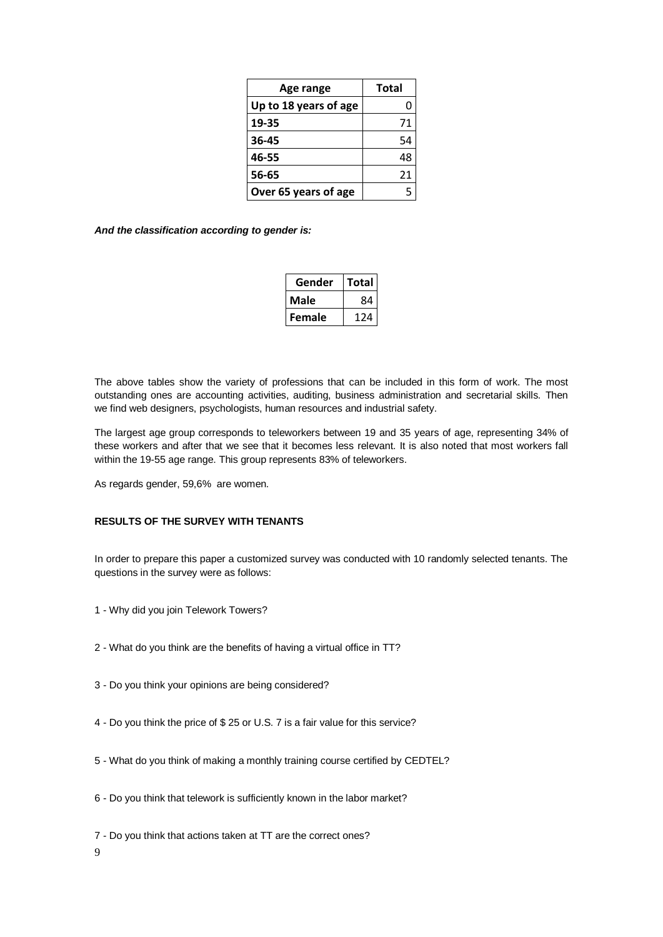| Age range             | Total |
|-----------------------|-------|
| Up to 18 years of age |       |
| 19-35                 | 71    |
| 36-45                 | 54    |
| 46-55                 | 48    |
| 56-65                 | 21    |
| Over 65 years of age  | 5     |

*And the classification according to gender is:*

| Gender | Total |
|--------|-------|
| Male   | 84    |
| Female | 124   |

The above tables show the variety of professions that can be included in this form of work. The most outstanding ones are accounting activities, auditing, business administration and secretarial skills. Then we find web designers, psychologists, human resources and industrial safety.

The largest age group corresponds to teleworkers between 19 and 35 years of age, representing 34% of these workers and after that we see that it becomes less relevant. It is also noted that most workers fall within the 19-55 age range. This group represents 83% of teleworkers.

As regards gender, 59,6% are women.

# **RESULTS OF THE SURVEY WITH TENANTS**

In order to prepare this paper a customized survey was conducted with 10 randomly selected tenants. The questions in the survey were as follows:

- 1 Why did you join Telework Towers?
- 2 What do you think are the benefits of having a virtual office in TT?
- 3 Do you think your opinions are being considered?
- 4 Do you think the price of \$ 25 or U.S. 7 is a fair value for this service?
- 5 What do you think of making a monthly training course certified by CEDTEL?
- 6 Do you think that telework is sufficiently known in the labor market?
- 7 Do you think that actions taken at TT are the correct ones?
- 9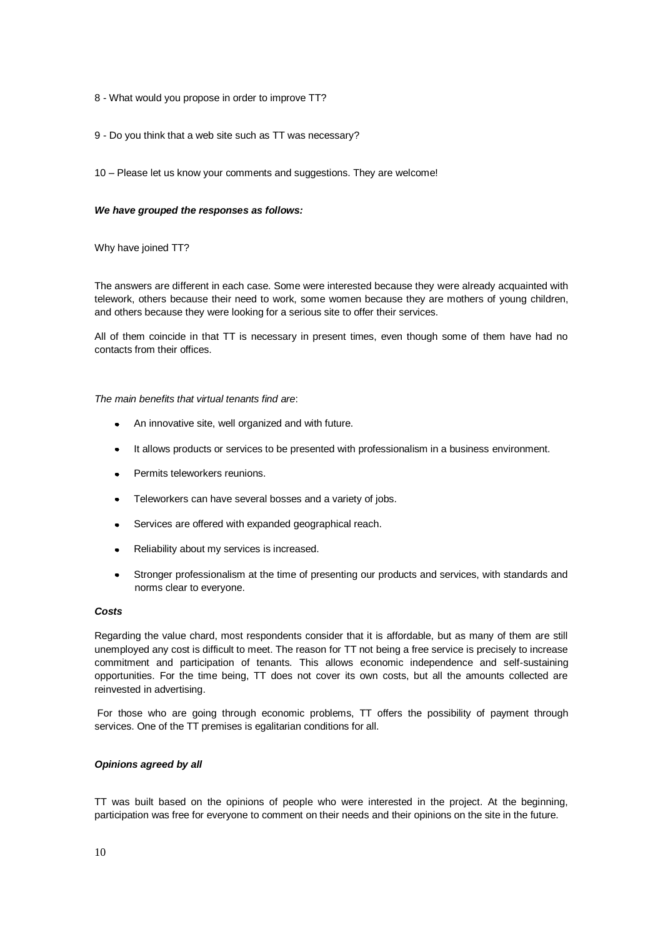- 8 What would you propose in order to improve TT?
- 9 Do you think that a web site such as TT was necessary?
- 10 Please let us know your comments and suggestions. They are welcome!

#### *We have grouped the responses as follows:*

Why have joined TT?

The answers are different in each case. Some were interested because they were already acquainted with telework, others because their need to work, some women because they are mothers of young children, and others because they were looking for a serious site to offer their services.

All of them coincide in that TT is necessary in present times, even though some of them have had no contacts from their offices.

#### *The main benefits that virtual tenants find are*:

- An innovative site, well organized and with future.
- It allows products or services to be presented with professionalism in a business environment.
- Permits teleworkers reunions.
- Teleworkers can have several bosses and a variety of jobs.  $\bullet$
- Services are offered with expanded geographical reach.  $\bullet$
- Reliability about my services is increased.
- Stronger professionalism at the time of presenting our products and services, with standards and norms clear to everyone.

#### *Costs*

Regarding the value chard, most respondents consider that it is affordable, but as many of them are still unemployed any cost is difficult to meet. The reason for TT not being a free service is precisely to increase commitment and participation of tenants. This allows economic independence and self-sustaining opportunities. For the time being, TT does not cover its own costs, but all the amounts collected are reinvested in advertising.

For those who are going through economic problems, TT offers the possibility of payment through services. One of the TT premises is egalitarian conditions for all.

#### *Opinions agreed by all*

TT was built based on the opinions of people who were interested in the project. At the beginning, participation was free for everyone to comment on their needs and their opinions on the site in the future.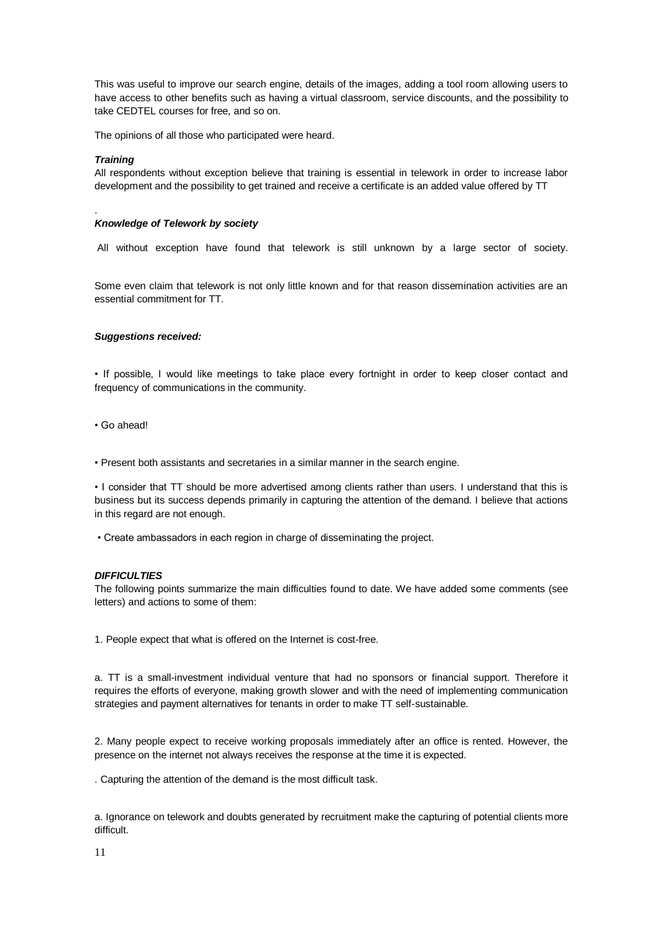This was useful to improve our search engine, details of the images, adding a tool room allowing users to have access to other benefits such as having a virtual classroom, service discounts, and the possibility to take CEDTEL courses for free, and so on.

The opinions of all those who participated were heard.

#### *Training*

.

All respondents without exception believe that training is essential in telework in order to increase labor development and the possibility to get trained and receive a certificate is an added value offered by TT

# *Knowledge of Telework by society*

All without exception have found that telework is still unknown by a large sector of society.

Some even claim that telework is not only little known and for that reason dissemination activities are an essential commitment for TT.

# *Suggestions received:*

• If possible, I would like meetings to take place every fortnight in order to keep closer contact and frequency of communications in the community.

• Go ahead!

• Present both assistants and secretaries in a similar manner in the search engine.

• I consider that TT should be more advertised among clients rather than users. I understand that this is business but its success depends primarily in capturing the attention of the demand. I believe that actions in this regard are not enough.

• Create ambassadors in each region in charge of disseminating the project.

# *DIFFICULTIES*

The following points summarize the main difficulties found to date. We have added some comments (see letters) and actions to some of them:

1. People expect that what is offered on the Internet is cost-free.

a. TT is a small-investment individual venture that had no sponsors or financial support. Therefore it requires the efforts of everyone, making growth slower and with the need of implementing communication strategies and payment alternatives for tenants in order to make TT self-sustainable.

2. Many people expect to receive working proposals immediately after an office is rented. However, the presence on the internet not always receives the response at the time it is expected.

. Capturing the attention of the demand is the most difficult task.

a. Ignorance on telework and doubts generated by recruitment make the capturing of potential clients more difficult.